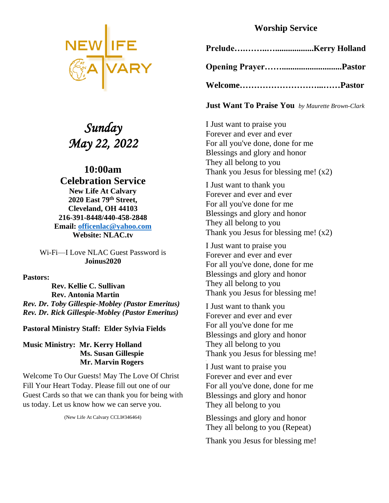

# *Sunday May 22, 2022*

# **10:00am Celebration Service New Life At Calvary 2020 East 79th Street, Cleveland, OH 44103 216-391-8448/440-458-2848 Email: [officenlac@yahoo.com](mailto:officenlac@yahoo.com) Website: NLAC.tv**

Wi-Fi—I Love NLAC Guest Password is **Joinus2020**

**Pastors:** 

 **Rev. Kellie C. Sullivan Rev. Antonia Martin** *Rev. Dr. Toby Gillespie-Mobley (Pastor Emeritus) Rev. Dr. Rick Gillespie-Mobley (Pastor Emeritus)*

**Pastoral Ministry Staff: Elder Sylvia Fields**

#### **Music Ministry: Mr. Kerry Holland Ms. Susan Gillespie Mr. Marvin Rogers**

Welcome To Our Guests! May The Love Of Christ Fill Your Heart Today. Please fill out one of our Guest Cards so that we can thank you for being with us today. Let us know how we can serve you.

(New Life At Calvary CCLI#346464)

# **Worship Service**

**Just Want To Praise You** *by Maurette Brown-Clark*

I Just want to praise you Forever and ever and ever For all you've done, done for me Blessings and glory and honor They all belong to you Thank you Jesus for blessing me!  $(x2)$ 

I Just want to thank you Forever and ever and ever For all you've done for me Blessings and glory and honor They all belong to you Thank you Jesus for blessing me! (x2)

I Just want to praise you Forever and ever and ever For all you've done, done for me Blessings and glory and honor They all belong to you Thank you Jesus for blessing me!

I Just want to thank you Forever and ever and ever For all you've done for me Blessings and glory and honor They all belong to you Thank you Jesus for blessing me!

I Just want to praise you Forever and ever and ever For all you've done, done for me Blessings and glory and honor They all belong to you

Blessings and glory and honor They all belong to you (Repeat)

Thank you Jesus for blessing me!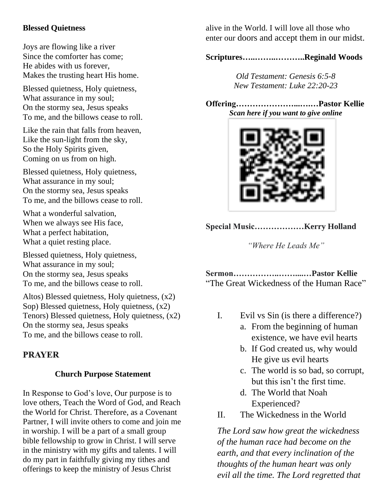# **Blessed Quietness**

Joys are flowing like a river Since the comforter has come; He abides with us forever, Makes the trusting heart His home.

Blessed quietness, Holy quietness, What assurance in my soul; On the stormy sea, Jesus speaks To me, and the billows cease to roll.

Like the rain that falls from heaven, Like the sun-light from the sky, So the Holy Spirits given, Coming on us from on high.

Blessed quietness, Holy quietness, What assurance in my soul; On the stormy sea, Jesus speaks To me, and the billows cease to roll.

What a wonderful salvation, When we always see His face, What a perfect habitation, What a quiet resting place.

Blessed quietness, Holy quietness, What assurance in my soul; On the stormy sea, Jesus speaks To me, and the billows cease to roll.

Altos) Blessed quietness, Holy quietness, (x2) Sop) Blessed quietness, Holy quietness, (x2) Tenors) Blessed quietness, Holy quietness, (x2) On the stormy sea, Jesus speaks To me, and the billows cease to roll.

# **PRAYER**

## **Church Purpose Statement**

In Response to God's love, Our purpose is to love others, Teach the Word of God, and Reach the World for Christ. Therefore, as a Covenant Partner, I will invite others to come and join me in worship. I will be a part of a small group bible fellowship to grow in Christ. I will serve in the ministry with my gifts and talents. I will do my part in faithfully giving my tithes and offerings to keep the ministry of Jesus Christ

alive in the World. I will love all those who enter our doors and accept them in our midst.

**Scriptures…..……..………..Reginald Woods**

*Old Testament: Genesis 6:5-8 New Testament: Luke 22:20-23*

**Offering…………………...….…Pastor Kellie** *Scan here if you want to give online*



**Special Music………………Kerry Holland**

*"Where He Leads Me"*

**Sermon……………..……....…Pastor Kellie** "The Great Wickedness of the Human Race"

- I. Evil vs Sin (is there a difference?)
	- a. From the beginning of human existence, we have evil hearts
	- b. If God created us, why would He give us evil hearts
	- c. The world is so bad, so corrupt, but this isn't the first time.
	- d. The World that Noah Experienced?
- II. The Wickedness in the World

*The Lord saw how great the wickedness of the human race had become on the earth, and that every inclination of the thoughts of the human heart was only evil all the time. The Lord regretted that*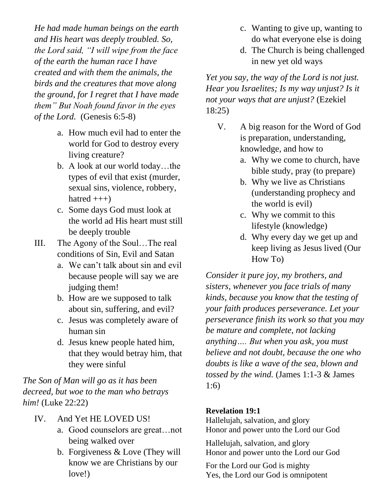*He had made human beings on the earth and His heart was deeply troubled. So, the Lord said, "I will wipe from the face of the earth the human race I have created and with them the animals, the birds and the creatures that move along the ground, for I regret that I have made them" But Noah found favor in the eyes of the Lord.* (Genesis 6:5-8)

- a. How much evil had to enter the world for God to destroy every living creature?
- b. A look at our world today…the types of evil that exist (murder, sexual sins, violence, robbery, hatred  $+++)$
- c. Some days God must look at the world ad His heart must still be deeply trouble
- III. The Agony of the Soul…The real conditions of Sin, Evil and Satan
	- a. We can't talk about sin and evil because people will say we are judging them!
	- b. How are we supposed to talk about sin, suffering, and evil?
	- c. Jesus was completely aware of human sin
	- d. Jesus knew people hated him, that they would betray him, that they were sinful

*The Son of Man will go as it has been decreed, but woe to the man who betrays him!* (Luke 22:22)

- IV. And Yet HE LOVED US!
	- a. Good counselors are great…not being walked over
	- b. Forgiveness & Love (They will know we are Christians by our love!)
- c. Wanting to give up, wanting to do what everyone else is doing
- d. The Church is being challenged in new yet old ways

*Yet you say, the way of the Lord is not just. Hear you Israelites; Is my way unjust? Is it not your ways that are unjust?* (Ezekiel 18:25)

- V. A big reason for the Word of God is preparation, understanding, knowledge, and how to
	- a. Why we come to church, have bible study, pray (to prepare)
	- b. Why we live as Christians (understanding prophecy and the world is evil)
	- c. Why we commit to this lifestyle (knowledge)
	- d. Why every day we get up and keep living as Jesus lived (Our How To)

*Consider it pure joy, my brothers, and sisters, whenever you face trials of many kinds, because you know that the testing of your faith produces perseverance. Let your perseverance finish its work so that you may be mature and complete, not lacking anything…. But when you ask, you must believe and not doubt, because the one who doubts is like a wave of the sea, blown and tossed by the wind.* (James 1:1-3 & James 1:6)

# **Revelation 19:1**

Hallelujah, salvation, and glory Honor and power unto the Lord our God

Hallelujah, salvation, and glory Honor and power unto the Lord our God

For the Lord our God is mighty Yes, the Lord our God is omnipotent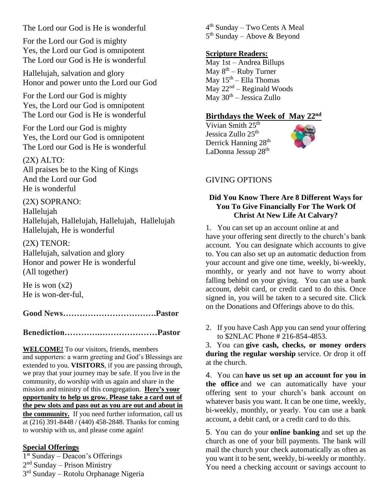The Lord our God is He is wonderful

For the Lord our God is mighty Yes, the Lord our God is omnipotent The Lord our God is He is wonderful

Hallelujah, salvation and glory Honor and power unto the Lord our God

For the Lord our God is mighty Yes, the Lord our God is omnipotent The Lord our God is He is wonderful

For the Lord our God is mighty Yes, the Lord our God is omnipotent The Lord our God is He is wonderful

(2X) ALTO: All praises be to the King of Kings And the Lord our God He is wonderful

(2X) SOPRANO: Hallelujah Hallelujah, Hallelujah, Hallelujah, Hallelujah Hallelujah, He is wonderful

(2X) TENOR: Hallelujah, salvation and glory Honor and power He is wonderful (All together)

He is won  $(x2)$ He is won-der-ful,

**Good News…………………………….Pastor**

**Benediction………….…………………Pastor**

**WELCOME!** To our visitors, friends, members and supporters: a warm greeting and God's Blessings are extended to you. **VISITORS**, if you are passing through, we pray that your journey may be safe. If you live in the community, do worship with us again and share in the mission and ministry of this congregation. **Here's your opportunity to help us grow. Please take a card out of the pew slots and pass out as you are out and about in the community.** If you need further information, call us at (216) 391-8448 / (440) 458-2848. Thanks for coming to worship with us, and please come again!

#### **Special Offerings**

1 st Sunday – Deacon's Offerings 2<sup>nd</sup> Sunday – Prison Ministry 3<sup>rd</sup> Sunday – Rotolu Orphanage Nigeria 4<sup>th</sup> Sunday – Two Cents A Meal 5<sup>th</sup> Sunday – Above & Beyond

#### **Scripture Readers:**

May 1st – Andrea Billups May 8<sup>th</sup> – Ruby Turner May  $15^{\text{th}}$  – Ella Thomas  $May 22<sup>nd</sup> – Regional Woods$ May 30<sup>th</sup> – Jessica Zullo

#### **Birthdays the Week of May 22nd**

Vivian Smith  $25<sup>th</sup>$ Jessica Zullo 25<sup>th</sup> Derrick Hanning 28<sup>th</sup> LaDonna Jessup 28<sup>th</sup>

# GIVING OPTIONS

#### **Did You Know There Are 8 Different Ways for You To Give Financially For The Work Of Christ At New Life At Calvary?**

1. You can set up an account online at and have your offering sent directly to the church's bank account. You can designate which accounts to give to. You can also set up an automatic deduction from your account and give one time, weekly, bi-weekly, monthly, or yearly and not have to worry about falling behind on your giving. You can use a bank account, debit card, or credit card to do this. Once signed in, you will be taken to a secured site. Click on the Donations and Offerings above to do this.

2. If you have Cash App you can send your offering to \$2NLAC Phone # 216-854-4853.

3. You can **give cash, checks, or money orders during the regular worship** service. Or drop it off at the church.

4. You can **have us set up an account for you in the office** and we can automatically have your offering sent to your church's bank account on whatever basis you want. It can be one time, weekly, bi-weekly, monthly, or yearly. You can use a bank account, a debit card, or a credit card to do this.

5. You can do your **online banking** and set up the church as one of your bill payments. The bank will mail the church your check automatically as often as you want it to be sent, weekly, bi-weekly or monthly. You need a checking account or savings account to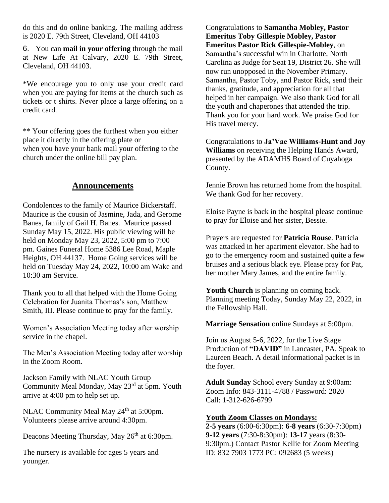do this and do online banking. The mailing address is 2020 E. 79th Street, Cleveland, OH 44103

6. You can **mail in your offering** through the mail at New Life At Calvary, 2020 E. 79th Street, Cleveland, OH 44103.

\*We encourage you to only use your credit card when you are paying for items at the church such as tickets or t shirts. Never place a large offering on a credit card.

\*\* Your offering goes the furthest when you either place it directly in the offering plate or when you have your bank mail your offering to the church under the online bill pay plan.

# **Announcements**

Condolences to the family of Maurice Bickerstaff. Maurice is the cousin of Jasmine, Jada, and Gerome Banes, family of Gail H. Banes. Maurice passed Sunday May 15, 2022. His public viewing will be held on Monday May 23, 2022, 5:00 pm to 7:00 pm. Gaines Funeral Home 5386 Lee Road, Maple Heights, OH 44137. Home Going services will be held on Tuesday May 24, 2022, 10:00 am Wake and 10:30 am Service.

Thank you to all that helped with the Home Going Celebration for Juanita Thomas's son, Matthew Smith, III. Please continue to pray for the family.

Women's Association Meeting today after worship service in the chapel.

The Men's Association Meeting today after worship in the Zoom Room.

Jackson Family with NLAC Youth Group Community Meal Monday, May 23rd at 5pm. Youth arrive at 4:00 pm to help set up.

NLAC Community Meal May 24<sup>th</sup> at 5:00pm. Volunteers please arrive around 4:30pm.

Deacons Meeting Thursday, May 26<sup>th</sup> at 6:30pm.

The nursery is available for ages 5 years and younger.

Congratulations to **Samantha Mobley, Pastor Emeritus Toby Gillespie Mobley, Pastor Emeritus Pastor Rick Gillespie-Mobley**, on Samantha's successful win in Charlotte, North Carolina as Judge for Seat 19, District 26. She will now run unopposed in the November Primary. Samantha, Pastor Toby, and Pastor Rick, send their thanks, gratitude, and appreciation for all that helped in her campaign. We also thank God for all the youth and chaperones that attended the trip. Thank you for your hard work. We praise God for His travel mercy.

Congratulations to **Ja'Vae Williams-Hunt and Joy Williams** on receiving the Helping Hands Award, presented by the ADAMHS Board of Cuyahoga County.

Jennie Brown has returned home from the hospital. We thank God for her recovery.

Eloise Payne is back in the hospital please continue to pray for Eloise and her sister, Bessie.

Prayers are requested for **Patricia Rouse**. Patricia was attacked in her apartment elevator. She had to go to the emergency room and sustained quite a few bruises and a serious black eye. Please pray for Pat, her mother Mary James, and the entire family.

**Youth Church** is planning on coming back. Planning meeting Today, Sunday May 22, 2022, in the Fellowship Hall.

**Marriage Sensation** online Sundays at 5:00pm.

Join us August 5-6, 2022, for the Live Stage Production of **"DAVID"** in Lancaster, PA. Speak to Laureen Beach. A detail informational packet is in the foyer.

**Adult Sunday** School every Sunday at 9:00am: Zoom Info: 843-3111-4788 / Password: 2020 Call: 1-312-626-6799

#### **Youth Zoom Classes on Mondays:**

**2-5 years** (6:00-6:30pm): **6-8 years** (6:30-7:30pm) **9-12 years** (7:30-8:30pm): **13-17** years (8:30- 9:30pm.) Contact Pastor Kellie for Zoom Meeting ID: 832 7903 1773 PC: 092683 (5 weeks)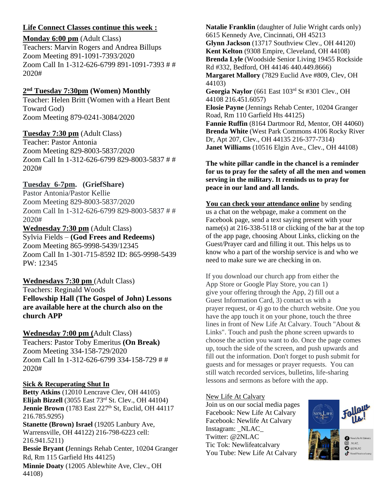#### **Life Connect Classes continue this week :**

#### **Monday 6:00 pm** (Adult Class)

Teachers: Marvin Rogers and Andrea Billups Zoom Meeting 891-1091-7393/2020 Zoom Call In 1-312-626-6799 891-1091-7393 # # 2020#

#### **2 nd Tuesday 7:30pm (Women) Monthly**

Teacher: Helen Britt (Women with a Heart Bent Toward God) Zoom Meeting 879-0241-3084/2020

## **Tuesday 7:30 pm** (Adult Class)

Teacher: Pastor Antonia Zoom Meeting 829-8003-5837/2020 Zoom Call In 1-312-626-6799 829-8003-5837 # # 2020#

## **Tuesday 6-7pm. (GriefShare)**

Pastor Antonia/Pastor Kellie Zoom Meeting 829-8003-5837/2020 Zoom Call In 1-312-626-6799 829-8003-5837 # # 2020#

#### **Wednesday 7:30 pm** (Adult Class) Sylvia Fields – **(God Frees and Redeems)**

Zoom Meeting 865-9998-5439/12345 Zoom Call In 1-301-715-8592 ID: 865-9998-5439 PW: 12345

#### **Wednesdays 7:30 pm** (Adult Class) Teachers: Reginald Woods **Fellowship Hall (The Gospel of John) Lessons are available here at the church also on the church APP**

## **Wednesday 7:00 pm (**Adult Class)

Teachers: Pastor Toby Emeritus **(On Break)** Zoom Meeting 334-158-729/2020 Zoom Call In 1-312-626-6799 334-158-729 # # 2020#

#### **Sick & Recuperating Shut In**

**Betty Atkins** (12010 Lencrave Clev, OH 44105) **Elijah Bizzell** (3055 East 73rd St. Clev., OH 44104) **Jennie Brown** (1783 East 227<sup>th</sup> St, Euclid, OH 44117 216.785.9295) **Stanette (Brown) Israel** (19205 Lanbury Ave, Warrensville, OH 44122) 216-798-6223 cell: 216.941.5211) **Bessie Bryant (**Jennings Rehab Center, 10204 Granger Rd, Rm 115 Garfield Hts 44125) **Minnie Doaty** (12005 Ablewhite Ave, Clev., OH 44108)

**Natalie Franklin** (daughter of Julie Wright cards only) 6615 Kennedy Ave, Cincinnati, OH 45213 **Glynn Jackson** (13717 Southview Clev., OH 44120) **Kent Kelton** (9308 Empire, Cleveland, OH 44108) **Brenda Lyle** (Woodside Senior Living 19455 Rockside Rd #332, Bedford, OH 44146 440.449.8666) **Margaret Mallory** (7829 Euclid Ave #809, Clev, OH 44103) **Georgia Naylor** (661 East 103rd St #301 Clev., OH 44108 216.451.6057) **Elosie Payne** (Jennings Rehab Center, 10204 Granger Road, Rm 110 Garfield Hts 44125) **Fannie Ruffin** (8164 Dartmoor Rd, Mentor, OH 44060) **Brenda White** (West Park Commons 4106 Rocky River Dr, Apt 207, Clev., OH 44135 216-377-7314) **Janet Williams** (10516 Elgin Ave., Clev., OH 44108)

#### **The white pillar candle in the chancel is a reminder for us to pray for the safety of all the men and women serving in the military. It reminds us to pray for peace in our land and all lands.**

**You can check your attendance online** by sending us a chat on the webpage, make a comment on the Facebook page, send a text saying present with your name(s) at 216-338-5118 or clicking of the bar at the top of the app page, choosing About Links, clicking on the Guest/Prayer card and filling it out. This helps us to know who a part of the worship service is and who we need to make sure we are checking in on.

If you download our church app from either the App Store or Google Play Store, you can 1) give your offering through the App, 2) fill out a Guest Information Card, 3) contact us with a prayer request, or 4) go to the church website. One you have the app touch it on your phone, touch the three lines in front of New Life At Calvary. Touch "About & Links". Touch and push the phone screen upwards to choose the action you want to do. Once the page comes up, touch the side of the screen, and push upwards and fill out the information. Don't forget to push submit for guests and for messages or prayer requests. You can still watch recorded services, bulletins, life-sharing lessons and sermons as before with the app.

#### New Life At Calvary

Join us on our social media pages Facebook: New Life At Calvary Facebook: Newlife At Calvary Instagram: NLAC Twitter: @2NLAC Tic Tok: Newlifeatcalvary You Tube: New Life At Calvary

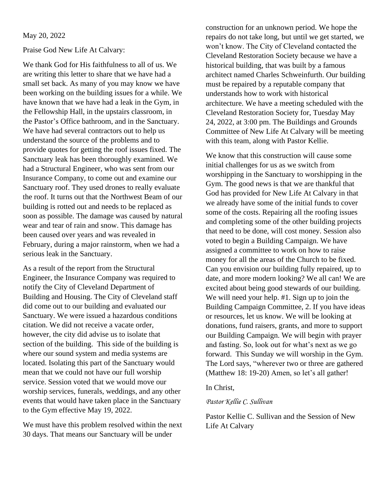#### May 20, 2022

#### Praise God New Life At Calvary:

We thank God for His faithfulness to all of us. We are writing this letter to share that we have had a small set back. As many of you may know we have been working on the building issues for a while. We have known that we have had a leak in the Gym, in the Fellowship Hall, in the upstairs classroom, in the Pastor's Office bathroom, and in the Sanctuary. We have had several contractors out to help us understand the source of the problems and to provide quotes for getting the roof issues fixed. The Sanctuary leak has been thoroughly examined. We had a Structural Engineer, who was sent from our Insurance Company, to come out and examine our Sanctuary roof. They used drones to really evaluate the roof. It turns out that the Northwest Beam of our building is rotted out and needs to be replaced as soon as possible. The damage was caused by natural wear and tear of rain and snow. This damage has been caused over years and was revealed in February, during a major rainstorm, when we had a serious leak in the Sanctuary.

As a result of the report from the Structural Engineer, the Insurance Company was required to notify the City of Cleveland Department of Building and Housing. The City of Cleveland staff did come out to our building and evaluated our Sanctuary. We were issued a hazardous conditions citation. We did not receive a vacate order, however, the city did advise us to isolate that section of the building. This side of the building is where our sound system and media systems are located. Isolating this part of the Sanctuary would mean that we could not have our full worship service. Session voted that we would move our worship services, funerals, weddings, and any other events that would have taken place in the Sanctuary to the Gym effective May 19, 2022.

We must have this problem resolved within the next 30 days. That means our Sanctuary will be under

construction for an unknown period. We hope the repairs do not take long, but until we get started, we won't know. The City of Cleveland contacted the Cleveland Restoration Society because we have a historical building, that was built by a famous architect named Charles Schweinfurth. Our building must be repaired by a reputable company that understands how to work with historical architecture. We have a meeting scheduled with the Cleveland Restoration Society for, Tuesday May 24, 2022, at 3:00 pm. The Buildings and Grounds Committee of New Life At Calvary will be meeting with this team, along with Pastor Kellie.

We know that this construction will cause some initial challenges for us as we switch from worshipping in the Sanctuary to worshipping in the Gym. The good news is that we are thankful that God has provided for New Life At Calvary in that we already have some of the initial funds to cover some of the costs. Repairing all the roofing issues and completing some of the other building projects that need to be done, will cost money. Session also voted to begin a Building Campaign. We have assigned a committee to work on how to raise money for all the areas of the Church to be fixed. Can you envision our building fully repaired, up to date, and more modern looking? We all can! We are excited about being good stewards of our building. We will need your help. #1. Sign up to join the Building Campaign Committee, 2. If you have ideas or resources, let us know. We will be looking at donations, fund raisers, grants, and more to support our Building Campaign. We will begin with prayer and fasting. So, look out for what's next as we go forward. This Sunday we will worship in the Gym. The Lord says, "wherever two or three are gathered (Matthew 18: 19-20) Amen, so let's all gather!

#### In Christ,

#### *Pastor Kellie C. Sullivan*

Pastor Kellie C. Sullivan and the Session of New Life At Calvary